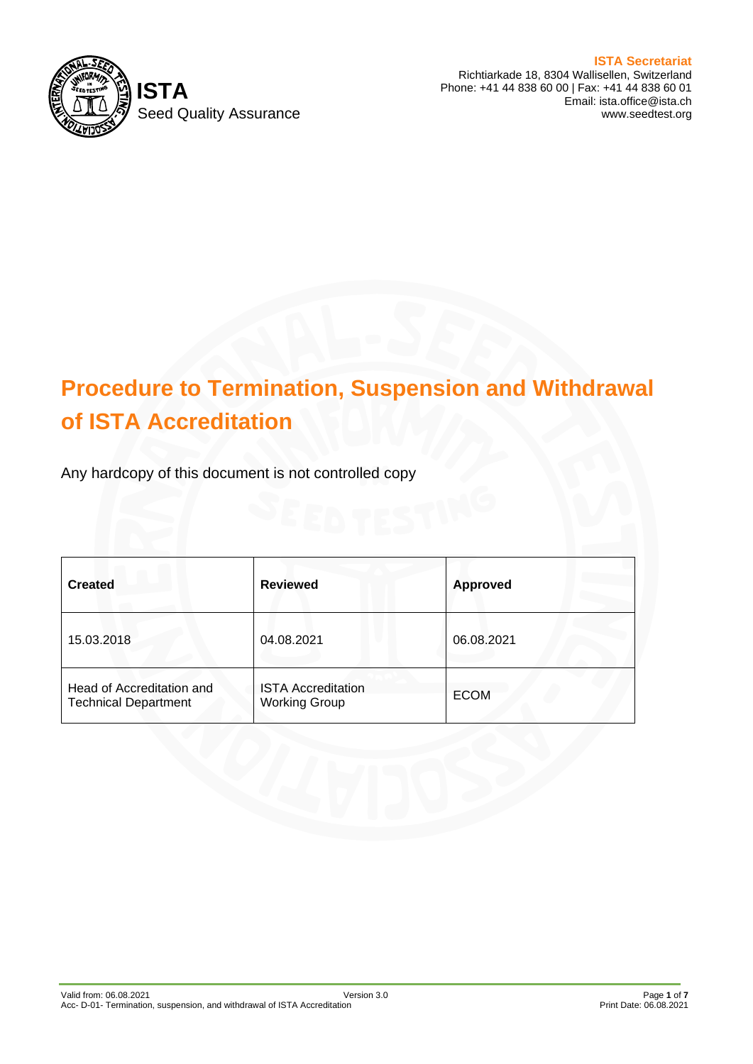

Richtiarkade 18, 8304 Wallisellen, Switzerland Phone: +41 44 838 60 00 | Fax: +41 44 838 60 01 Email: ista.office@ista.ch www.seedtest.org

# **Procedure to Termination, Suspension and Withdrawal of ISTA Accreditation**

Any hardcopy of this document is not controlled copy

| <b>Created</b>                                           | <b>Reviewed</b>                                   | <b>Approved</b> |
|----------------------------------------------------------|---------------------------------------------------|-----------------|
| 15.03.2018                                               | 04.08.2021                                        | 06.08.2021      |
| Head of Accreditation and<br><b>Technical Department</b> | <b>ISTA Accreditation</b><br><b>Working Group</b> | <b>ECOM</b>     |

# **ISTA Secretariat**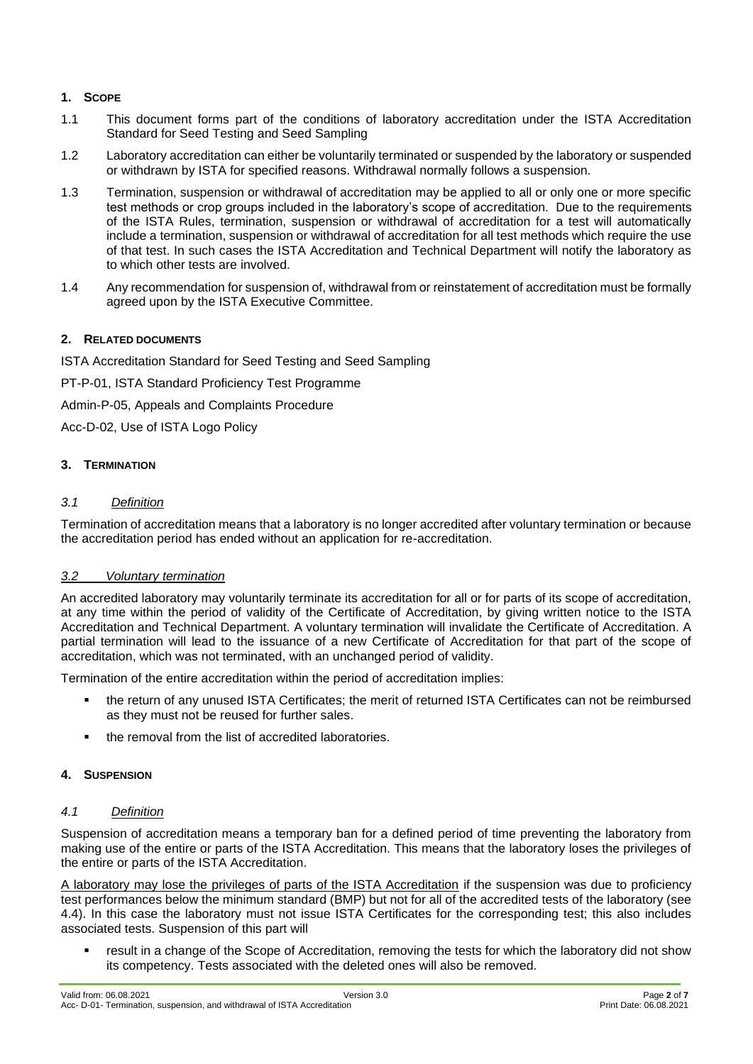# **1. SCOPE**

- 1.1 This document forms part of the conditions of laboratory accreditation under the ISTA Accreditation Standard for Seed Testing and Seed Sampling
- 1.2 Laboratory accreditation can either be voluntarily terminated or suspended by the laboratory or suspended or withdrawn by ISTA for specified reasons. Withdrawal normally follows a suspension.
- 1.3 Termination, suspension or withdrawal of accreditation may be applied to all or only one or more specific test methods or crop groups included in the laboratory's scope of accreditation. Due to the requirements of the ISTA Rules, termination, suspension or withdrawal of accreditation for a test will automatically include a termination, suspension or withdrawal of accreditation for all test methods which require the use of that test. In such cases the ISTA Accreditation and Technical Department will notify the laboratory as to which other tests are involved.
- 1.4 Any recommendation for suspension of, withdrawal from or reinstatement of accreditation must be formally agreed upon by the ISTA Executive Committee.

# **2. RELATED DOCUMENTS**

ISTA Accreditation Standard for Seed Testing and Seed Sampling

PT-P-01, ISTA Standard Proficiency Test Programme

Admin-P-05, Appeals and Complaints Procedure

Acc-D-02, Use of ISTA Logo Policy

# **3. TERMINATION**

#### *3.1 Definition*

Termination of accreditation means that a laboratory is no longer accredited after voluntary termination or because the accreditation period has ended without an application for re-accreditation.

# *3.2 Voluntary termination*

An accredited laboratory may voluntarily terminate its accreditation for all or for parts of its scope of accreditation, at any time within the period of validity of the Certificate of Accreditation, by giving written notice to the ISTA Accreditation and Technical Department. A voluntary termination will invalidate the Certificate of Accreditation. A partial termination will lead to the issuance of a new Certificate of Accreditation for that part of the scope of accreditation, which was not terminated, with an unchanged period of validity.

Termination of the entire accreditation within the period of accreditation implies:

- the return of any unused ISTA Certificates; the merit of returned ISTA Certificates can not be reimbursed as they must not be reused for further sales.
- the removal from the list of accredited laboratories.

#### **4. SUSPENSION**

#### *4.1 Definition*

Suspension of accreditation means a temporary ban for a defined period of time preventing the laboratory from making use of the entire or parts of the ISTA Accreditation. This means that the laboratory loses the privileges of the entire or parts of the ISTA Accreditation.

A laboratory may lose the privileges of parts of the ISTA Accreditation if the suspension was due to proficiency test performances below the minimum standard (BMP) but not for all of the accredited tests of the laboratory (see 4.4). In this case the laboratory must not issue ISTA Certificates for the corresponding test; this also includes associated tests. Suspension of this part will

result in a change of the Scope of Accreditation, removing the tests for which the laboratory did not show its competency. Tests associated with the deleted ones will also be removed.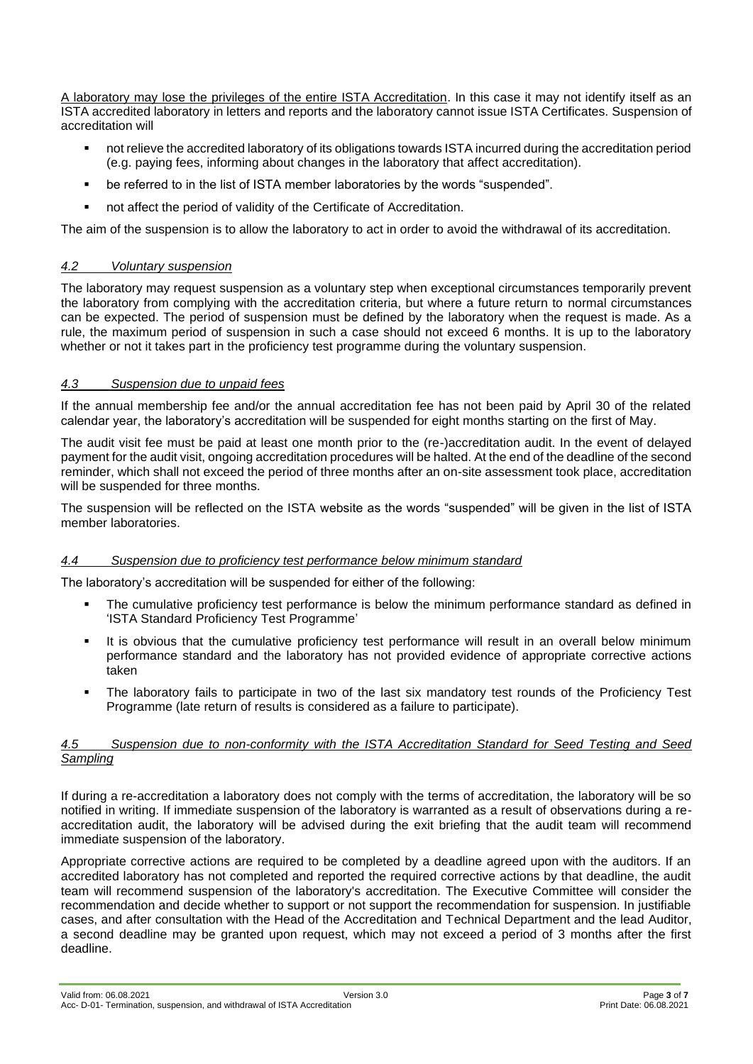A laboratory may lose the privileges of the entire ISTA Accreditation. In this case it may not identify itself as an ISTA accredited laboratory in letters and reports and the laboratory cannot issue ISTA Certificates. Suspension of accreditation will

- not relieve the accredited laboratory of its obligations towards ISTA incurred during the accreditation period (e.g. paying fees, informing about changes in the laboratory that affect accreditation).
- be referred to in the list of ISTA member laboratories by the words "suspended".
- not affect the period of validity of the Certificate of Accreditation.

The aim of the suspension is to allow the laboratory to act in order to avoid the withdrawal of its accreditation.

#### *4.2 Voluntary suspension*

The laboratory may request suspension as a voluntary step when exceptional circumstances temporarily prevent the laboratory from complying with the accreditation criteria, but where a future return to normal circumstances can be expected. The period of suspension must be defined by the laboratory when the request is made. As a rule, the maximum period of suspension in such a case should not exceed 6 months. It is up to the laboratory whether or not it takes part in the proficiency test programme during the voluntary suspension.

#### *4.3 Suspension due to unpaid fees*

If the annual membership fee and/or the annual accreditation fee has not been paid by April 30 of the related calendar year, the laboratory's accreditation will be suspended for eight months starting on the first of May.

The audit visit fee must be paid at least one month prior to the (re-)accreditation audit. In the event of delayed payment for the audit visit, ongoing accreditation procedures will be halted. At the end of the deadline of the second reminder, which shall not exceed the period of three months after an on-site assessment took place, accreditation will be suspended for three months.

The suspension will be reflected on the ISTA website as the words "suspended" will be given in the list of ISTA member laboratories.

#### *4.4 Suspension due to proficiency test performance below minimum standard*

The laboratory's accreditation will be suspended for either of the following:

- **•** The cumulative proficiency test performance is below the minimum performance standard as defined in 'ISTA Standard Proficiency Test Programme'
- It is obvious that the cumulative proficiency test performance will result in an overall below minimum performance standard and the laboratory has not provided evidence of appropriate corrective actions taken
- The laboratory fails to participate in two of the last six mandatory test rounds of the Proficiency Test Programme (late return of results is considered as a failure to participate).

#### *4.5 Suspension due to non-conformity with the ISTA Accreditation Standard for Seed Testing and Seed Sampling*

If during a re-accreditation a laboratory does not comply with the terms of accreditation, the laboratory will be so notified in writing. If immediate suspension of the laboratory is warranted as a result of observations during a reaccreditation audit, the laboratory will be advised during the exit briefing that the audit team will recommend immediate suspension of the laboratory.

Appropriate corrective actions are required to be completed by a deadline agreed upon with the auditors. If an accredited laboratory has not completed and reported the required corrective actions by that deadline, the audit team will recommend suspension of the laboratory's accreditation. The Executive Committee will consider the recommendation and decide whether to support or not support the recommendation for suspension. In justifiable cases, and after consultation with the Head of the Accreditation and Technical Department and the lead Auditor, a second deadline may be granted upon request, which may not exceed a period of 3 months after the first deadline.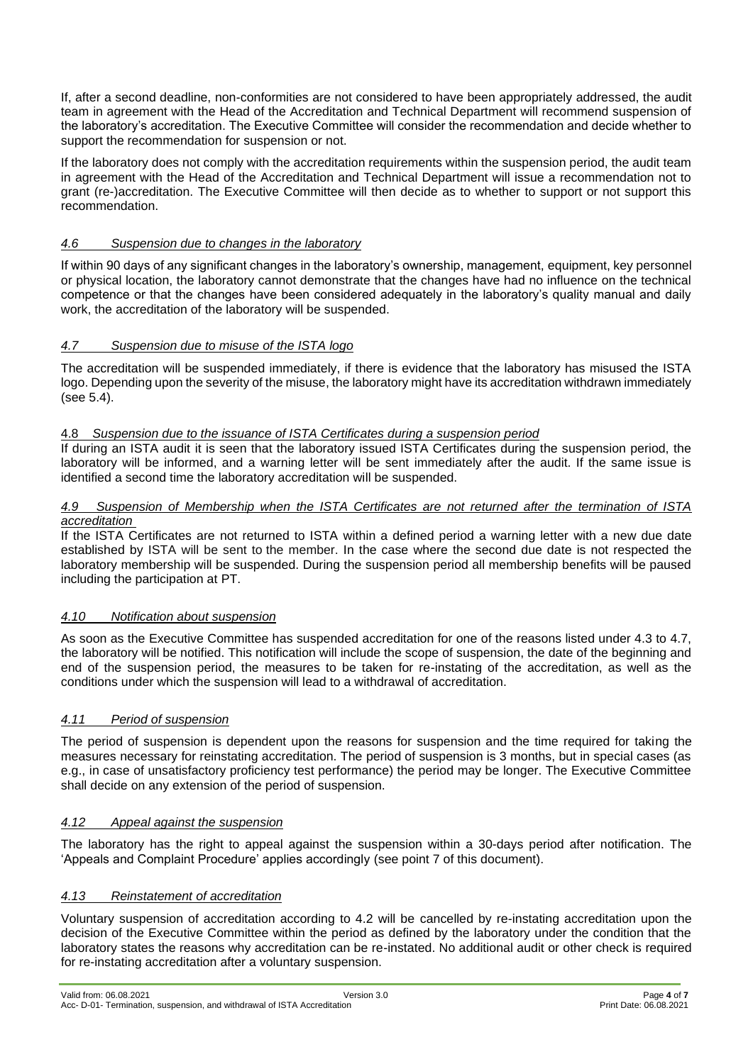If, after a second deadline, non-conformities are not considered to have been appropriately addressed, the audit team in agreement with the Head of the Accreditation and Technical Department will recommend suspension of the laboratory's accreditation. The Executive Committee will consider the recommendation and decide whether to support the recommendation for suspension or not.

If the laboratory does not comply with the accreditation requirements within the suspension period, the audit team in agreement with the Head of the Accreditation and Technical Department will issue a recommendation not to grant (re-)accreditation. The Executive Committee will then decide as to whether to support or not support this recommendation.

# *4.6 Suspension due to changes in the laboratory*

If within 90 days of any significant changes in the laboratory's ownership, management, equipment, key personnel or physical location, the laboratory cannot demonstrate that the changes have had no influence on the technical competence or that the changes have been considered adequately in the laboratory's quality manual and daily work, the accreditation of the laboratory will be suspended.

# *4.7 Suspension due to misuse of the ISTA logo*

The accreditation will be suspended immediately, if there is evidence that the laboratory has misused the ISTA logo. Depending upon the severity of the misuse, the laboratory might have its accreditation withdrawn immediately (see 5.4).

#### 4.8 *Suspension due to the issuance of ISTA Certificates during a suspension period*

If during an ISTA audit it is seen that the laboratory issued ISTA Certificates during the suspension period, the laboratory will be informed, and a warning letter will be sent immediately after the audit. If the same issue is identified a second time the laboratory accreditation will be suspended.

#### *4.9 Suspension of Membership when the ISTA Certificates are not returned after the termination of ISTA accreditation*

If the ISTA Certificates are not returned to ISTA within a defined period a warning letter with a new due date established by ISTA will be sent to the member. In the case where the second due date is not respected the laboratory membership will be suspended. During the suspension period all membership benefits will be paused including the participation at PT.

#### *4.10 Notification about suspension*

As soon as the Executive Committee has suspended accreditation for one of the reasons listed under 4.3 to 4.7, the laboratory will be notified. This notification will include the scope of suspension, the date of the beginning and end of the suspension period, the measures to be taken for re-instating of the accreditation, as well as the conditions under which the suspension will lead to a withdrawal of accreditation.

#### *4.11 Period of suspension*

The period of suspension is dependent upon the reasons for suspension and the time required for taking the measures necessary for reinstating accreditation. The period of suspension is 3 months, but in special cases (as e.g., in case of unsatisfactory proficiency test performance) the period may be longer. The Executive Committee shall decide on any extension of the period of suspension.

# *4.12 Appeal against the suspension*

The laboratory has the right to appeal against the suspension within a 30-days period after notification. The 'Appeals and Complaint Procedure' applies accordingly (see point 7 of this document).

#### *4.13 Reinstatement of accreditation*

Voluntary suspension of accreditation according to 4.2 will be cancelled by re-instating accreditation upon the decision of the Executive Committee within the period as defined by the laboratory under the condition that the laboratory states the reasons why accreditation can be re-instated. No additional audit or other check is required for re-instating accreditation after a voluntary suspension.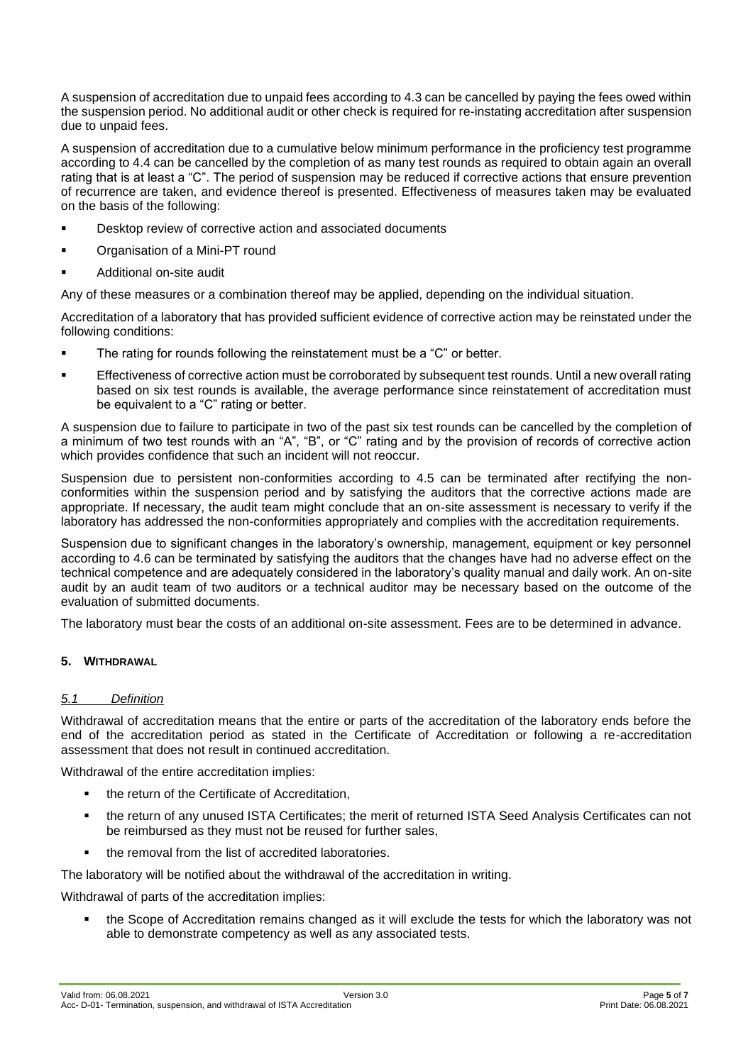A suspension of accreditation due to unpaid fees according to 4.3 can be cancelled by paying the fees owed within the suspension period. No additional audit or other check is required for re-instating accreditation after suspension due to unpaid fees.

A suspension of accreditation due to a cumulative below minimum performance in the proficiency test programme according to 4.4 can be cancelled by the completion of as many test rounds as required to obtain again an overall rating that is at least a "C". The period of suspension may be reduced if corrective actions that ensure prevention of recurrence are taken, and evidence thereof is presented. Effectiveness of measures taken may be evaluated on the basis of the following:

- Desktop review of corrective action and associated documents
- Organisation of a Mini-PT round
- Additional on-site audit

Any of these measures or a combination thereof may be applied, depending on the individual situation.

Accreditation of a laboratory that has provided sufficient evidence of corrective action may be reinstated under the following conditions:

- The rating for rounds following the reinstatement must be a "C" or better.
- Effectiveness of corrective action must be corroborated by subsequent test rounds. Until a new overall rating based on six test rounds is available, the average performance since reinstatement of accreditation must be equivalent to a "C" rating or better.

A suspension due to failure to participate in two of the past six test rounds can be cancelled by the completion of a minimum of two test rounds with an "A", "B", or "C" rating and by the provision of records of corrective action which provides confidence that such an incident will not reoccur.

Suspension due to persistent non-conformities according to 4.5 can be terminated after rectifying the nonconformities within the suspension period and by satisfying the auditors that the corrective actions made are appropriate. If necessary, the audit team might conclude that an on-site assessment is necessary to verify if the laboratory has addressed the non-conformities appropriately and complies with the accreditation requirements.

Suspension due to significant changes in the laboratory's ownership, management, equipment or key personnel according to 4.6 can be terminated by satisfying the auditors that the changes have had no adverse effect on the technical competence and are adequately considered in the laboratory's quality manual and daily work. An on-site audit by an audit team of two auditors or a technical auditor may be necessary based on the outcome of the evaluation of submitted documents.

The laboratory must bear the costs of an additional on-site assessment. Fees are to be determined in advance.

# **5. WITHDRAWAL**

# *5.1 Definition*

Withdrawal of accreditation means that the entire or parts of the accreditation of the laboratory ends before the end of the accreditation period as stated in the Certificate of Accreditation or following a re-accreditation assessment that does not result in continued accreditation.

Withdrawal of the entire accreditation implies:

- the return of the Certificate of Accreditation,
- the return of any unused ISTA Certificates; the merit of returned ISTA Seed Analysis Certificates can not be reimbursed as they must not be reused for further sales,
- the removal from the list of accredited laboratories.

The laboratory will be notified about the withdrawal of the accreditation in writing.

Withdrawal of parts of the accreditation implies:

the Scope of Accreditation remains changed as it will exclude the tests for which the laboratory was not able to demonstrate competency as well as any associated tests.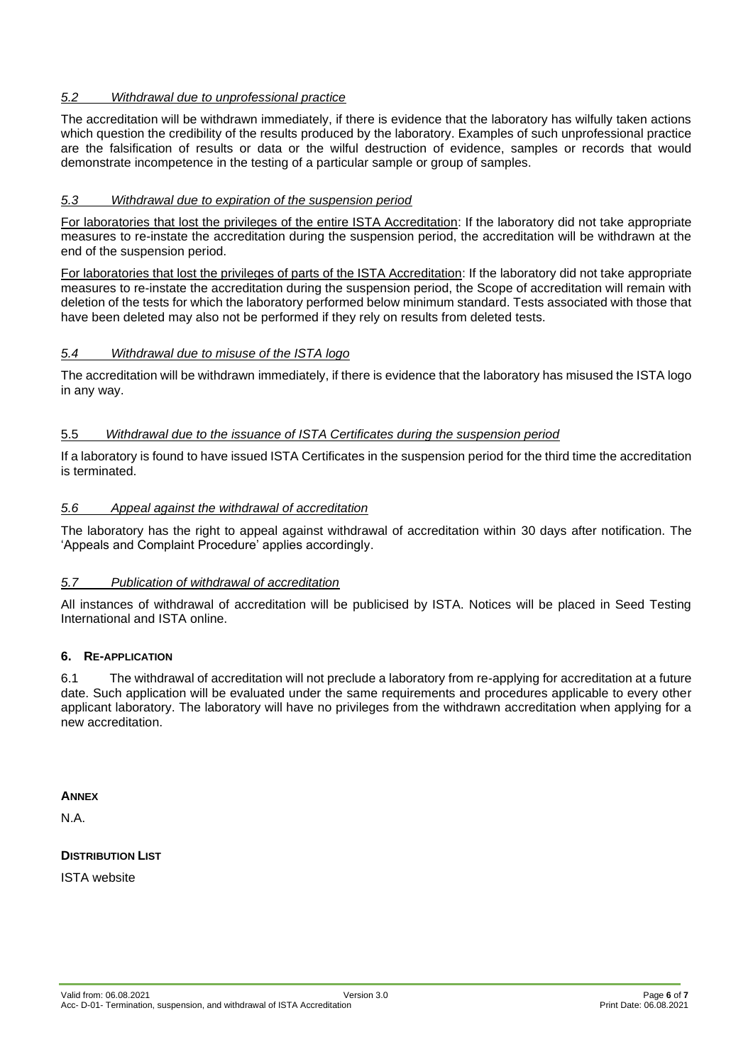# *5.2 Withdrawal due to unprofessional practice*

The accreditation will be withdrawn immediately, if there is evidence that the laboratory has wilfully taken actions which question the credibility of the results produced by the laboratory. Examples of such unprofessional practice are the falsification of results or data or the wilful destruction of evidence, samples or records that would demonstrate incompetence in the testing of a particular sample or group of samples.

# *5.3 Withdrawal due to expiration of the suspension period*

For laboratories that lost the privileges of the entire ISTA Accreditation: If the laboratory did not take appropriate measures to re-instate the accreditation during the suspension period, the accreditation will be withdrawn at the end of the suspension period.

For laboratories that lost the privileges of parts of the ISTA Accreditation: If the laboratory did not take appropriate measures to re-instate the accreditation during the suspension period, the Scope of accreditation will remain with deletion of the tests for which the laboratory performed below minimum standard. Tests associated with those that have been deleted may also not be performed if they rely on results from deleted tests.

# *5.4 Withdrawal due to misuse of the ISTA logo*

The accreditation will be withdrawn immediately, if there is evidence that the laboratory has misused the ISTA logo in any way.

# 5.5 *Withdrawal due to the issuance of ISTA Certificates during the suspension period*

If a laboratory is found to have issued ISTA Certificates in the suspension period for the third time the accreditation is terminated.

# *5.6 Appeal against the withdrawal of accreditation*

The laboratory has the right to appeal against withdrawal of accreditation within 30 days after notification. The 'Appeals and Complaint Procedure' applies accordingly.

#### *5.7 Publication of withdrawal of accreditation*

All instances of withdrawal of accreditation will be publicised by ISTA. Notices will be placed in Seed Testing International and ISTA online.

#### **6. RE-APPLICATION**

6.1 The withdrawal of accreditation will not preclude a laboratory from re-applying for accreditation at a future date. Such application will be evaluated under the same requirements and procedures applicable to every other applicant laboratory. The laboratory will have no privileges from the withdrawn accreditation when applying for a new accreditation.

#### **ANNEX**

N.A.

#### **DISTRIBUTION LIST**

ISTA website